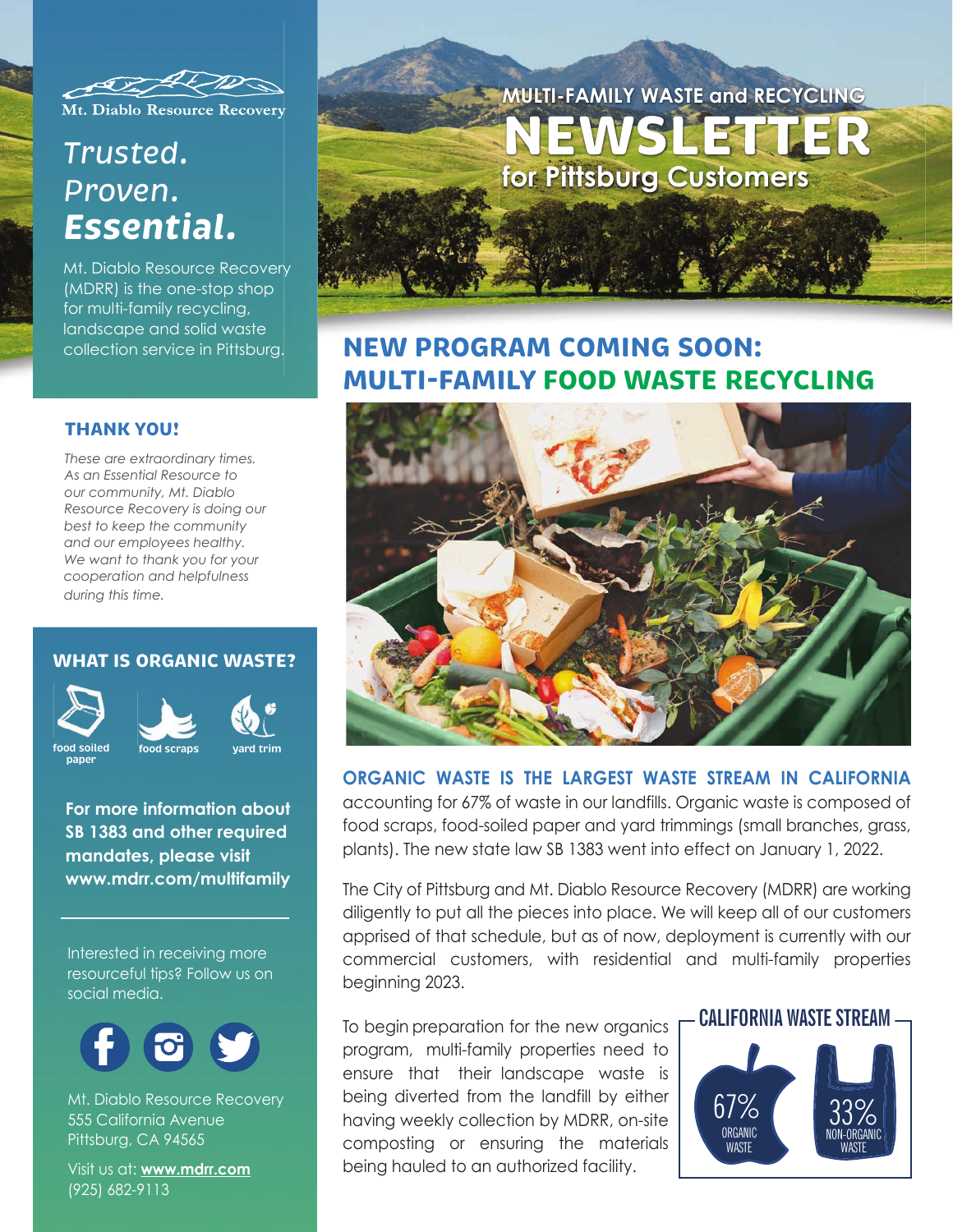

Mt. Diablo Resource Recovery

# *Trusted. Proven. Essential.*

Mt. Diablo Resource Recovery (MDRR) is the one-stop shop for multi-family recycling, landscape and solid waste collection service in Pittsburg.

### **THANK YOU!**

*These are extraordinary times. As an Essential Resource to our community, Mt. Diablo Resource Recovery is doing our best to keep the community and our employees healthy. We want to thank you for your cooperation and helpfulness during this time.*

### **WHAT IS ORGANIC WASTE?**



**paper**



**For more information about SB 1383 and other required mandates, please visit www.mdrr.com/multifamily**

Interested in receiving more resourceful tips? Follow us on

social media.



Mt. Diablo Resource Recovery 555 California Avenue Pittsburg, CA 94565

Visit us at: **www.mdrr.com** (925) 682-9113



## **NEW PROGRAM COMING SOON: MULTI-FAMILY FOOD WASTE RECYCLING**



### **ORGANIC WASTE IS THE LARGEST WASTE STREAM IN CALIFORNIA**

accounting for 67% of waste in our landfills. Organic waste is composed of food scraps, food-soiled paper and yard trimmings (small branches, grass, plants). The new state law SB 1383 went into effect on January 1, 2022.

The City of Pittsburg and Mt. Diablo Resource Recovery (MDRR) are working diligently to put all the pieces into place. We will keep all of our customers apprised of that schedule, but as of now, deployment is currently with our commercial customers, with residential and multi-family properties beginning 2023.

To begin preparation for the new organics **F CALIFORNIA WASTE STREAM** program, multi-family properties need to ensure that their landscape waste is being diverted from the landfill by either having weekly collection by MDRR, on-site composting or ensuring the materials being hauled to an authorized facility.